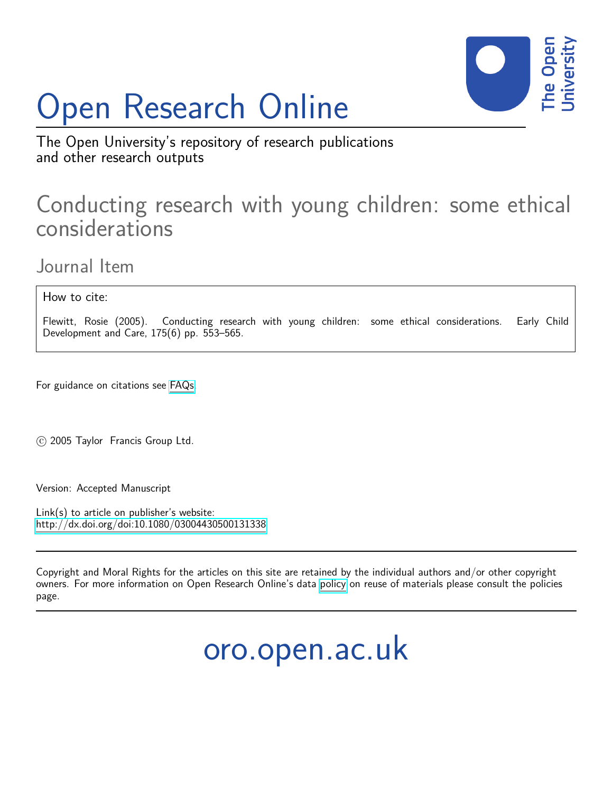# Open Research Online



The Open University's repository of research publications and other research outputs

## Conducting research with young children: some ethical considerations

Journal Item

How to cite:

Flewitt, Rosie (2005). Conducting research with young children: some ethical considerations. Early Child Development and Care, 175(6) pp. 553–565.

For guidance on citations see [FAQs.](http://oro.open.ac.uk/help/helpfaq.html)

c 2005 Taylor Francis Group Ltd.

Version: Accepted Manuscript

Link(s) to article on publisher's website: <http://dx.doi.org/doi:10.1080/03004430500131338>

Copyright and Moral Rights for the articles on this site are retained by the individual authors and/or other copyright owners. For more information on Open Research Online's data [policy](http://oro.open.ac.uk/policies.html) on reuse of materials please consult the policies page.

oro.open.ac.uk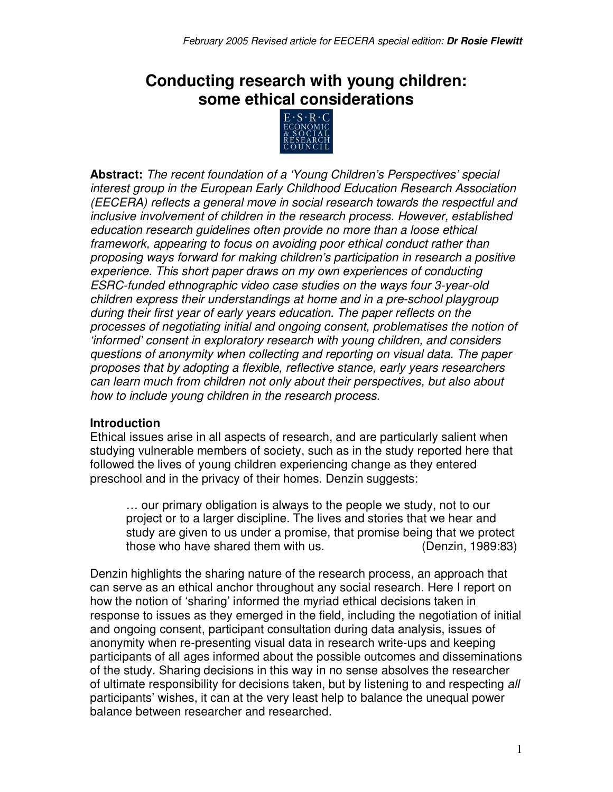### **Conducting research with young children: some ethical considerations**



**Abstract:** *The recent foundation of a 'Young Children's Perspectives' special interest group in the European Early Childhood Education Research Association (EECERA) reflects a general move in social research towards the respectful and inclusive involvement of children in the research process. However, established education research guidelines often provide no more than a loose ethical framework, appearing to focus on avoiding poor ethical conduct rather than proposing ways forward for making children's participation in research a positive experience. This short paper draws on my own experiences of conducting ESRC-funded ethnographic video case studies on the ways four 3-year-old children express their understandings at home and in a pre-school playgroup during their first year of early years education. The paper reflects on the processes of negotiating initial and ongoing consent, problematises the notion of 'informed' consent in exploratory research with young children, and considers questions of anonymity when collecting and reporting on visual data. The paper proposes that by adopting a flexible, reflective stance, early years researchers can learn much from children not only about their perspectives, but also about how to include young children in the research process.* 

#### **Introduction**

Ethical issues arise in all aspects of research, and are particularly salient when studying vulnerable members of society, such as in the study reported here that followed the lives of young children experiencing change as they entered preschool and in the privacy of their homes. Denzin suggests:

… our primary obligation is always to the people we study, not to our project or to a larger discipline. The lives and stories that we hear and study are given to us under a promise, that promise being that we protect those who have shared them with us. (Denzin, 1989:83)

Denzin highlights the sharing nature of the research process, an approach that can serve as an ethical anchor throughout any social research. Here I report on how the notion of 'sharing' informed the myriad ethical decisions taken in response to issues as they emerged in the field, including the negotiation of initial and ongoing consent, participant consultation during data analysis, issues of anonymity when re-presenting visual data in research write-ups and keeping participants of all ages informed about the possible outcomes and disseminations of the study. Sharing decisions in this way in no sense absolves the researcher of ultimate responsibility for decisions taken, but by listening to and respecting *all* participants' wishes, it can at the very least help to balance the unequal power balance between researcher and researched.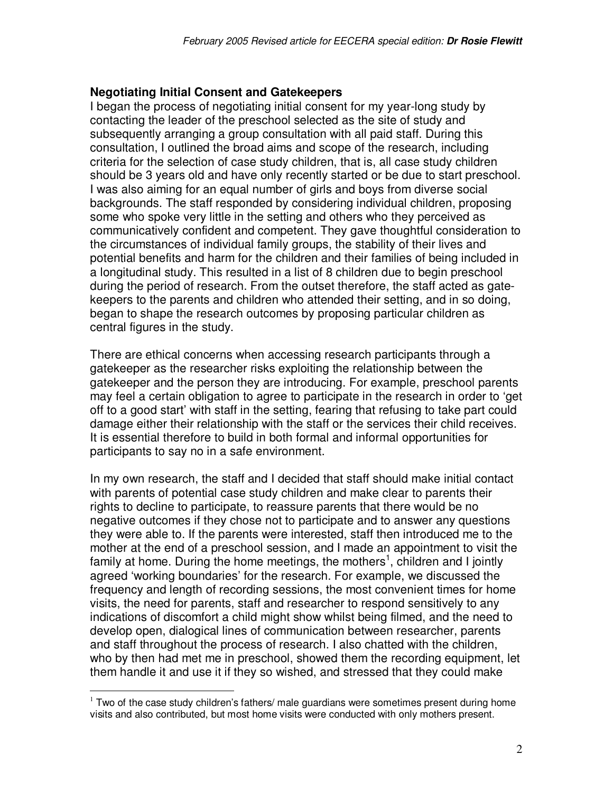#### **Negotiating Initial Consent and Gatekeepers**

I began the process of negotiating initial consent for my year-long study by contacting the leader of the preschool selected as the site of study and subsequently arranging a group consultation with all paid staff. During this consultation, I outlined the broad aims and scope of the research, including criteria for the selection of case study children, that is, all case study children should be 3 years old and have only recently started or be due to start preschool. I was also aiming for an equal number of girls and boys from diverse social backgrounds. The staff responded by considering individual children, proposing some who spoke very little in the setting and others who they perceived as communicatively confident and competent. They gave thoughtful consideration to the circumstances of individual family groups, the stability of their lives and potential benefits and harm for the children and their families of being included in a longitudinal study. This resulted in a list of 8 children due to begin preschool during the period of research. From the outset therefore, the staff acted as gatekeepers to the parents and children who attended their setting, and in so doing, began to shape the research outcomes by proposing particular children as central figures in the study.

There are ethical concerns when accessing research participants through a gatekeeper as the researcher risks exploiting the relationship between the gatekeeper and the person they are introducing. For example, preschool parents may feel a certain obligation to agree to participate in the research in order to 'get off to a good start' with staff in the setting, fearing that refusing to take part could damage either their relationship with the staff or the services their child receives. It is essential therefore to build in both formal and informal opportunities for participants to say no in a safe environment.

In my own research, the staff and I decided that staff should make initial contact with parents of potential case study children and make clear to parents their rights to decline to participate, to reassure parents that there would be no negative outcomes if they chose not to participate and to answer any questions they were able to. If the parents were interested, staff then introduced me to the mother at the end of a preschool session, and I made an appointment to visit the family at home. During the home meetings, the mothers<sup>1</sup>, children and I jointly agreed 'working boundaries' for the research. For example, we discussed the frequency and length of recording sessions, the most convenient times for home visits, the need for parents, staff and researcher to respond sensitively to any indications of discomfort a child might show whilst being filmed, and the need to develop open, dialogical lines of communication between researcher, parents and staff throughout the process of research. I also chatted with the children, who by then had met me in preschool, showed them the recording equipment, let them handle it and use it if they so wished, and stressed that they could make

 $\overline{a}$  $1$  Two of the case study children's fathers/ male guardians were sometimes present during home visits and also contributed, but most home visits were conducted with only mothers present.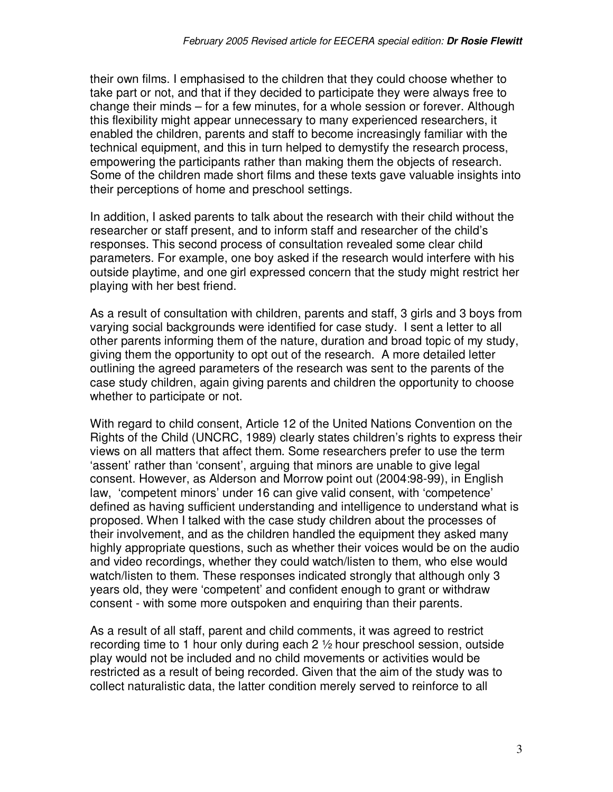their own films. I emphasised to the children that they could choose whether to take part or not, and that if they decided to participate they were always free to change their minds – for a few minutes, for a whole session or forever. Although this flexibility might appear unnecessary to many experienced researchers, it enabled the children, parents and staff to become increasingly familiar with the technical equipment, and this in turn helped to demystify the research process, empowering the participants rather than making them the objects of research. Some of the children made short films and these texts gave valuable insights into their perceptions of home and preschool settings.

In addition, I asked parents to talk about the research with their child without the researcher or staff present, and to inform staff and researcher of the child's responses. This second process of consultation revealed some clear child parameters. For example, one boy asked if the research would interfere with his outside playtime, and one girl expressed concern that the study might restrict her playing with her best friend.

As a result of consultation with children, parents and staff, 3 girls and 3 boys from varying social backgrounds were identified for case study. I sent a letter to all other parents informing them of the nature, duration and broad topic of my study, giving them the opportunity to opt out of the research. A more detailed letter outlining the agreed parameters of the research was sent to the parents of the case study children, again giving parents and children the opportunity to choose whether to participate or not.

With regard to child consent, Article 12 of the United Nations Convention on the Rights of the Child (UNCRC, 1989) clearly states children's rights to express their views on all matters that affect them. Some researchers prefer to use the term 'assent' rather than 'consent', arguing that minors are unable to give legal consent. However, as Alderson and Morrow point out (2004:98-99), in English law, 'competent minors' under 16 can give valid consent, with 'competence' defined as having sufficient understanding and intelligence to understand what is proposed. When I talked with the case study children about the processes of their involvement, and as the children handled the equipment they asked many highly appropriate questions, such as whether their voices would be on the audio and video recordings, whether they could watch/listen to them, who else would watch/listen to them. These responses indicated strongly that although only 3 years old, they were 'competent' and confident enough to grant or withdraw consent - with some more outspoken and enquiring than their parents.

As a result of all staff, parent and child comments, it was agreed to restrict recording time to 1 hour only during each 2 ½ hour preschool session, outside play would not be included and no child movements or activities would be restricted as a result of being recorded. Given that the aim of the study was to collect naturalistic data, the latter condition merely served to reinforce to all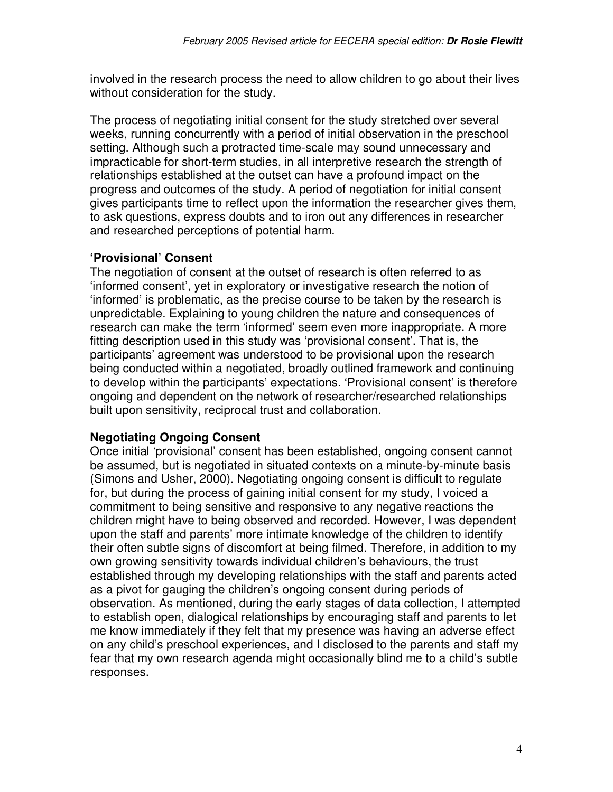involved in the research process the need to allow children to go about their lives without consideration for the study.

The process of negotiating initial consent for the study stretched over several weeks, running concurrently with a period of initial observation in the preschool setting. Although such a protracted time-scale may sound unnecessary and impracticable for short-term studies, in all interpretive research the strength of relationships established at the outset can have a profound impact on the progress and outcomes of the study. A period of negotiation for initial consent gives participants time to reflect upon the information the researcher gives them, to ask questions, express doubts and to iron out any differences in researcher and researched perceptions of potential harm.

#### **'Provisional' Consent**

The negotiation of consent at the outset of research is often referred to as 'informed consent', yet in exploratory or investigative research the notion of 'informed' is problematic, as the precise course to be taken by the research is unpredictable. Explaining to young children the nature and consequences of research can make the term 'informed' seem even more inappropriate. A more fitting description used in this study was 'provisional consent'. That is, the participants' agreement was understood to be provisional upon the research being conducted within a negotiated, broadly outlined framework and continuing to develop within the participants' expectations. 'Provisional consent' is therefore ongoing and dependent on the network of researcher/researched relationships built upon sensitivity, reciprocal trust and collaboration.

#### **Negotiating Ongoing Consent**

Once initial 'provisional' consent has been established, ongoing consent cannot be assumed, but is negotiated in situated contexts on a minute-by-minute basis (Simons and Usher, 2000). Negotiating ongoing consent is difficult to regulate for, but during the process of gaining initial consent for my study, I voiced a commitment to being sensitive and responsive to any negative reactions the children might have to being observed and recorded. However, I was dependent upon the staff and parents' more intimate knowledge of the children to identify their often subtle signs of discomfort at being filmed. Therefore, in addition to my own growing sensitivity towards individual children's behaviours, the trust established through my developing relationships with the staff and parents acted as a pivot for gauging the children's ongoing consent during periods of observation. As mentioned, during the early stages of data collection, I attempted to establish open, dialogical relationships by encouraging staff and parents to let me know immediately if they felt that my presence was having an adverse effect on any child's preschool experiences, and I disclosed to the parents and staff my fear that my own research agenda might occasionally blind me to a child's subtle responses.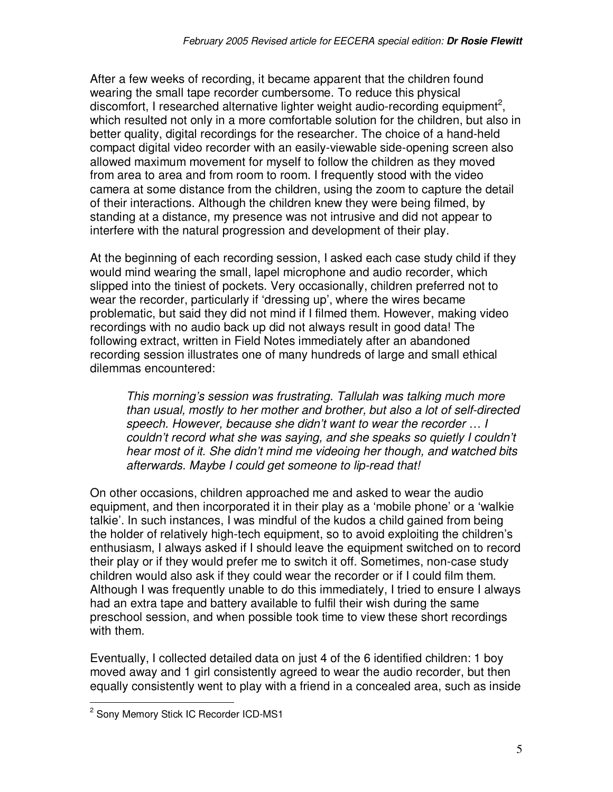After a few weeks of recording, it became apparent that the children found wearing the small tape recorder cumbersome. To reduce this physical discomfort, I researched alternative lighter weight audio-recording equipment<sup>2</sup>, which resulted not only in a more comfortable solution for the children, but also in better quality, digital recordings for the researcher. The choice of a hand-held compact digital video recorder with an easily-viewable side-opening screen also allowed maximum movement for myself to follow the children as they moved from area to area and from room to room. I frequently stood with the video camera at some distance from the children, using the zoom to capture the detail of their interactions. Although the children knew they were being filmed, by standing at a distance, my presence was not intrusive and did not appear to interfere with the natural progression and development of their play.

At the beginning of each recording session, I asked each case study child if they would mind wearing the small, lapel microphone and audio recorder, which slipped into the tiniest of pockets. Very occasionally, children preferred not to wear the recorder, particularly if 'dressing up', where the wires became problematic, but said they did not mind if I filmed them. However, making video recordings with no audio back up did not always result in good data! The following extract, written in Field Notes immediately after an abandoned recording session illustrates one of many hundreds of large and small ethical dilemmas encountered:

*This morning's session was frustrating. Tallulah was talking much more than usual, mostly to her mother and brother, but also a lot of self-directed speech. However, because she didn't want to wear the recorder … I couldn't record what she was saying, and she speaks so quietly I couldn't hear most of it. She didn't mind me videoing her though, and watched bits afterwards. Maybe I could get someone to lip-read that!* 

On other occasions, children approached me and asked to wear the audio equipment, and then incorporated it in their play as a 'mobile phone' or a 'walkie talkie'. In such instances, I was mindful of the kudos a child gained from being the holder of relatively high-tech equipment, so to avoid exploiting the children's enthusiasm, I always asked if I should leave the equipment switched on to record their play or if they would prefer me to switch it off. Sometimes, non-case study children would also ask if they could wear the recorder or if I could film them. Although I was frequently unable to do this immediately, I tried to ensure I always had an extra tape and battery available to fulfil their wish during the same preschool session, and when possible took time to view these short recordings with them.

Eventually, I collected detailed data on just 4 of the 6 identified children: 1 boy moved away and 1 girl consistently agreed to wear the audio recorder, but then equally consistently went to play with a friend in a concealed area, such as inside

 2 Sony Memory Stick IC Recorder ICD-MS1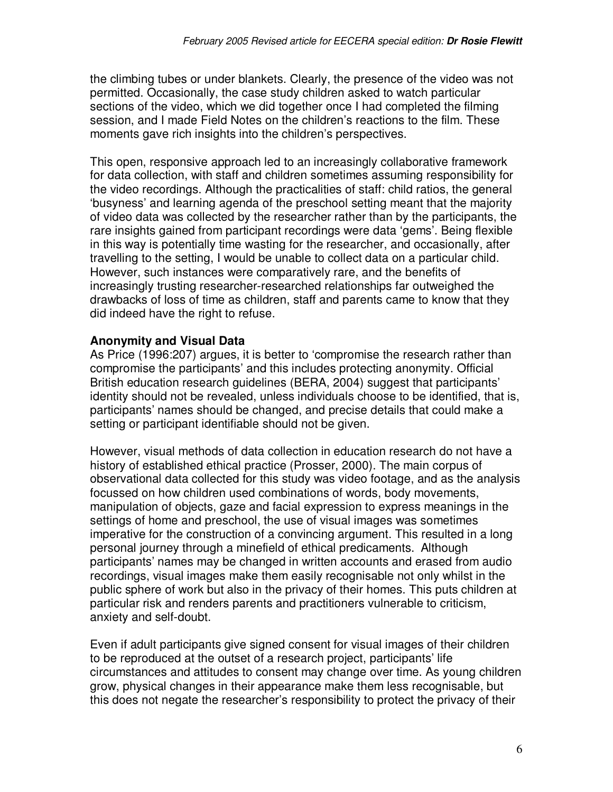the climbing tubes or under blankets. Clearly, the presence of the video was not permitted. Occasionally, the case study children asked to watch particular sections of the video, which we did together once I had completed the filming session, and I made Field Notes on the children's reactions to the film. These moments gave rich insights into the children's perspectives.

This open, responsive approach led to an increasingly collaborative framework for data collection, with staff and children sometimes assuming responsibility for the video recordings. Although the practicalities of staff: child ratios, the general 'busyness' and learning agenda of the preschool setting meant that the majority of video data was collected by the researcher rather than by the participants, the rare insights gained from participant recordings were data 'gems'. Being flexible in this way is potentially time wasting for the researcher, and occasionally, after travelling to the setting, I would be unable to collect data on a particular child. However, such instances were comparatively rare, and the benefits of increasingly trusting researcher-researched relationships far outweighed the drawbacks of loss of time as children, staff and parents came to know that they did indeed have the right to refuse.

#### **Anonymity and Visual Data**

As Price (1996:207) argues, it is better to 'compromise the research rather than compromise the participants' and this includes protecting anonymity. Official British education research guidelines (BERA, 2004) suggest that participants' identity should not be revealed, unless individuals choose to be identified, that is, participants' names should be changed, and precise details that could make a setting or participant identifiable should not be given.

However, visual methods of data collection in education research do not have a history of established ethical practice (Prosser, 2000). The main corpus of observational data collected for this study was video footage, and as the analysis focussed on how children used combinations of words, body movements, manipulation of objects, gaze and facial expression to express meanings in the settings of home and preschool, the use of visual images was sometimes imperative for the construction of a convincing argument. This resulted in a long personal journey through a minefield of ethical predicaments. Although participants' names may be changed in written accounts and erased from audio recordings, visual images make them easily recognisable not only whilst in the public sphere of work but also in the privacy of their homes. This puts children at particular risk and renders parents and practitioners vulnerable to criticism, anxiety and self-doubt.

Even if adult participants give signed consent for visual images of their children to be reproduced at the outset of a research project, participants' life circumstances and attitudes to consent may change over time. As young children grow, physical changes in their appearance make them less recognisable, but this does not negate the researcher's responsibility to protect the privacy of their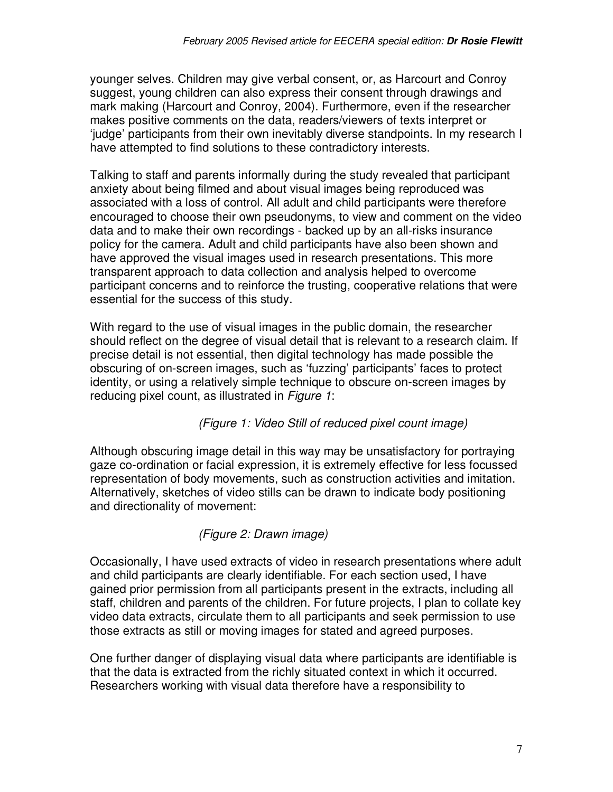younger selves. Children may give verbal consent, or, as Harcourt and Conroy suggest, young children can also express their consent through drawings and mark making (Harcourt and Conroy, 2004). Furthermore, even if the researcher makes positive comments on the data, readers/viewers of texts interpret or 'judge' participants from their own inevitably diverse standpoints. In my research I have attempted to find solutions to these contradictory interests.

Talking to staff and parents informally during the study revealed that participant anxiety about being filmed and about visual images being reproduced was associated with a loss of control. All adult and child participants were therefore encouraged to choose their own pseudonyms, to view and comment on the video data and to make their own recordings - backed up by an all-risks insurance policy for the camera. Adult and child participants have also been shown and have approved the visual images used in research presentations. This more transparent approach to data collection and analysis helped to overcome participant concerns and to reinforce the trusting, cooperative relations that were essential for the success of this study.

With regard to the use of visual images in the public domain, the researcher should reflect on the degree of visual detail that is relevant to a research claim. If precise detail is not essential, then digital technology has made possible the obscuring of on-screen images, such as 'fuzzing' participants' faces to protect identity, or using a relatively simple technique to obscure on-screen images by reducing pixel count, as illustrated in *Figure 1*:

#### *(Figure 1: Video Still of reduced pixel count image)*

Although obscuring image detail in this way may be unsatisfactory for portraying gaze co-ordination or facial expression, it is extremely effective for less focussed representation of body movements, such as construction activities and imitation. Alternatively, sketches of video stills can be drawn to indicate body positioning and directionality of movement:

#### *(Figure 2: Drawn image)*

Occasionally, I have used extracts of video in research presentations where adult and child participants are clearly identifiable. For each section used, I have gained prior permission from all participants present in the extracts, including all staff, children and parents of the children. For future projects, I plan to collate key video data extracts, circulate them to all participants and seek permission to use those extracts as still or moving images for stated and agreed purposes.

One further danger of displaying visual data where participants are identifiable is that the data is extracted from the richly situated context in which it occurred. Researchers working with visual data therefore have a responsibility to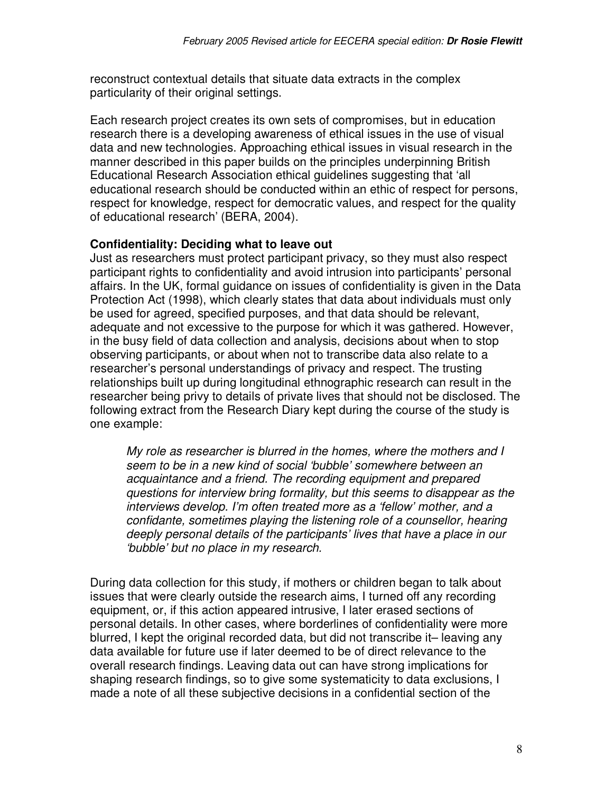reconstruct contextual details that situate data extracts in the complex particularity of their original settings.

Each research project creates its own sets of compromises, but in education research there is a developing awareness of ethical issues in the use of visual data and new technologies. Approaching ethical issues in visual research in the manner described in this paper builds on the principles underpinning British Educational Research Association ethical guidelines suggesting that 'all educational research should be conducted within an ethic of respect for persons, respect for knowledge, respect for democratic values, and respect for the quality of educational research' (BERA, 2004).

#### **Confidentiality: Deciding what to leave out**

Just as researchers must protect participant privacy, so they must also respect participant rights to confidentiality and avoid intrusion into participants' personal affairs. In the UK, formal guidance on issues of confidentiality is given in the Data Protection Act (1998), which clearly states that data about individuals must only be used for agreed, specified purposes, and that data should be relevant, adequate and not excessive to the purpose for which it was gathered. However, in the busy field of data collection and analysis, decisions about when to stop observing participants, or about when not to transcribe data also relate to a researcher's personal understandings of privacy and respect. The trusting relationships built up during longitudinal ethnographic research can result in the researcher being privy to details of private lives that should not be disclosed. The following extract from the Research Diary kept during the course of the study is one example:

*My role as researcher is blurred in the homes, where the mothers and I seem to be in a new kind of social 'bubble' somewhere between an acquaintance and a friend. The recording equipment and prepared questions for interview bring formality, but this seems to disappear as the interviews develop. I'm often treated more as a 'fellow' mother, and a confidante, sometimes playing the listening role of a counsellor, hearing deeply personal details of the participants' lives that have a place in our 'bubble' but no place in my research.* 

During data collection for this study, if mothers or children began to talk about issues that were clearly outside the research aims, I turned off any recording equipment, or, if this action appeared intrusive, I later erased sections of personal details. In other cases, where borderlines of confidentiality were more blurred, I kept the original recorded data, but did not transcribe it– leaving any data available for future use if later deemed to be of direct relevance to the overall research findings. Leaving data out can have strong implications for shaping research findings, so to give some systematicity to data exclusions, I made a note of all these subjective decisions in a confidential section of the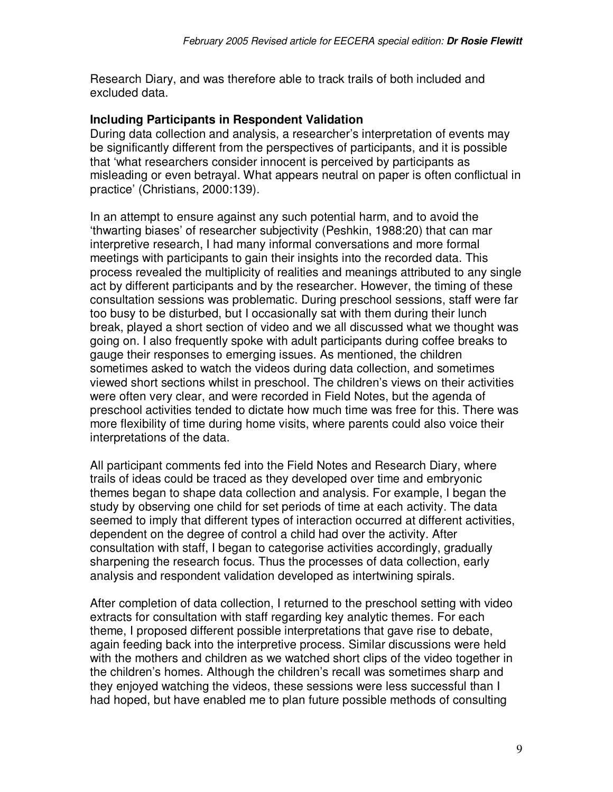Research Diary, and was therefore able to track trails of both included and excluded data.

#### **Including Participants in Respondent Validation**

During data collection and analysis, a researcher's interpretation of events may be significantly different from the perspectives of participants, and it is possible that 'what researchers consider innocent is perceived by participants as misleading or even betrayal. What appears neutral on paper is often conflictual in practice' (Christians, 2000:139).

In an attempt to ensure against any such potential harm, and to avoid the 'thwarting biases' of researcher subjectivity (Peshkin, 1988:20) that can mar interpretive research, I had many informal conversations and more formal meetings with participants to gain their insights into the recorded data. This process revealed the multiplicity of realities and meanings attributed to any single act by different participants and by the researcher. However, the timing of these consultation sessions was problematic. During preschool sessions, staff were far too busy to be disturbed, but I occasionally sat with them during their lunch break, played a short section of video and we all discussed what we thought was going on. I also frequently spoke with adult participants during coffee breaks to gauge their responses to emerging issues. As mentioned, the children sometimes asked to watch the videos during data collection, and sometimes viewed short sections whilst in preschool. The children's views on their activities were often very clear, and were recorded in Field Notes, but the agenda of preschool activities tended to dictate how much time was free for this. There was more flexibility of time during home visits, where parents could also voice their interpretations of the data.

All participant comments fed into the Field Notes and Research Diary, where trails of ideas could be traced as they developed over time and embryonic themes began to shape data collection and analysis. For example, I began the study by observing one child for set periods of time at each activity. The data seemed to imply that different types of interaction occurred at different activities, dependent on the degree of control a child had over the activity. After consultation with staff, I began to categorise activities accordingly, gradually sharpening the research focus. Thus the processes of data collection, early analysis and respondent validation developed as intertwining spirals.

After completion of data collection, I returned to the preschool setting with video extracts for consultation with staff regarding key analytic themes. For each theme, I proposed different possible interpretations that gave rise to debate, again feeding back into the interpretive process. Similar discussions were held with the mothers and children as we watched short clips of the video together in the children's homes. Although the children's recall was sometimes sharp and they enjoyed watching the videos, these sessions were less successful than I had hoped, but have enabled me to plan future possible methods of consulting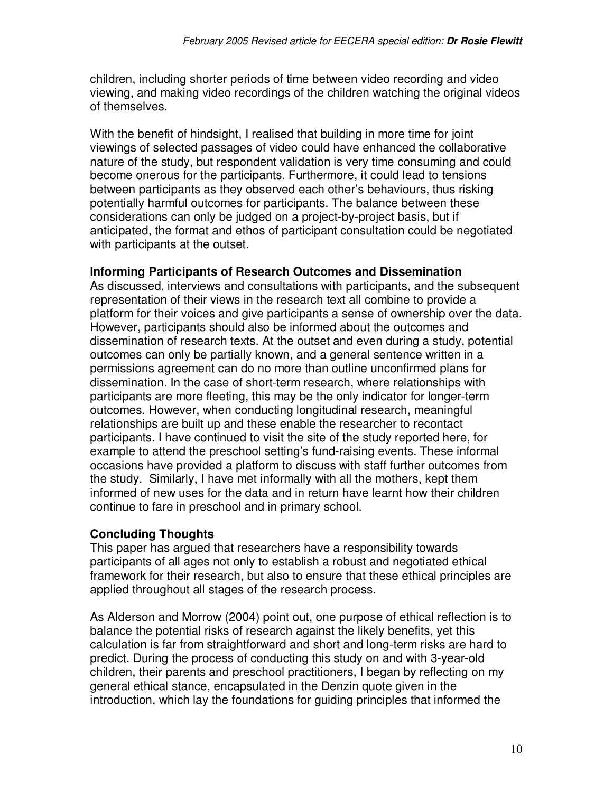children, including shorter periods of time between video recording and video viewing, and making video recordings of the children watching the original videos of themselves.

With the benefit of hindsight, I realised that building in more time for joint viewings of selected passages of video could have enhanced the collaborative nature of the study, but respondent validation is very time consuming and could become onerous for the participants. Furthermore, it could lead to tensions between participants as they observed each other's behaviours, thus risking potentially harmful outcomes for participants. The balance between these considerations can only be judged on a project-by-project basis, but if anticipated, the format and ethos of participant consultation could be negotiated with participants at the outset.

#### **Informing Participants of Research Outcomes and Dissemination**

As discussed, interviews and consultations with participants, and the subsequent representation of their views in the research text all combine to provide a platform for their voices and give participants a sense of ownership over the data. However, participants should also be informed about the outcomes and dissemination of research texts. At the outset and even during a study, potential outcomes can only be partially known, and a general sentence written in a permissions agreement can do no more than outline unconfirmed plans for dissemination. In the case of short-term research, where relationships with participants are more fleeting, this may be the only indicator for longer-term outcomes. However, when conducting longitudinal research, meaningful relationships are built up and these enable the researcher to recontact participants. I have continued to visit the site of the study reported here, for example to attend the preschool setting's fund-raising events. These informal occasions have provided a platform to discuss with staff further outcomes from the study. Similarly, I have met informally with all the mothers, kept them informed of new uses for the data and in return have learnt how their children continue to fare in preschool and in primary school.

#### **Concluding Thoughts**

This paper has argued that researchers have a responsibility towards participants of all ages not only to establish a robust and negotiated ethical framework for their research, but also to ensure that these ethical principles are applied throughout all stages of the research process.

As Alderson and Morrow (2004) point out, one purpose of ethical reflection is to balance the potential risks of research against the likely benefits, yet this calculation is far from straightforward and short and long-term risks are hard to predict. During the process of conducting this study on and with 3-year-old children, their parents and preschool practitioners, I began by reflecting on my general ethical stance, encapsulated in the Denzin quote given in the introduction, which lay the foundations for guiding principles that informed the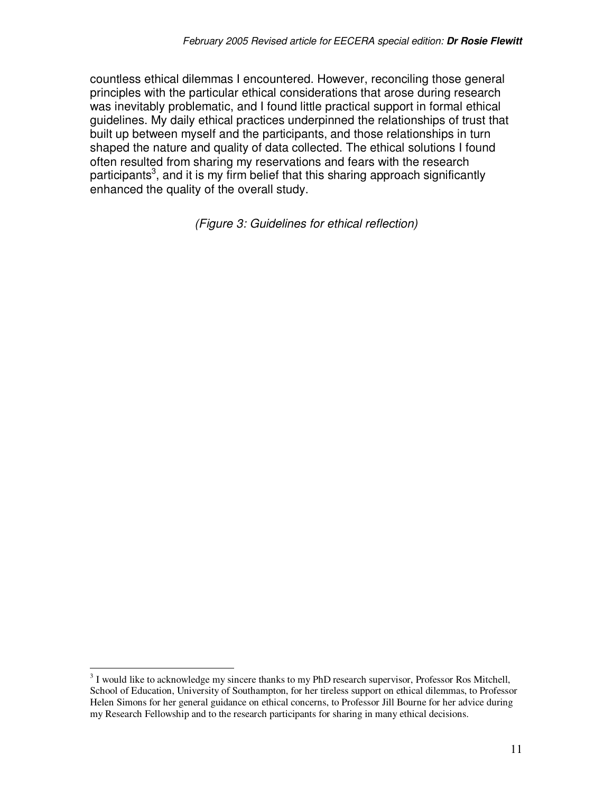countless ethical dilemmas I encountered. However, reconciling those general principles with the particular ethical considerations that arose during research was inevitably problematic, and I found little practical support in formal ethical guidelines. My daily ethical practices underpinned the relationships of trust that built up between myself and the participants, and those relationships in turn shaped the nature and quality of data collected. The ethical solutions I found often resulted from sharing my reservations and fears with the research participants<sup>3</sup>, and it is my firm belief that this sharing approach significantly enhanced the quality of the overall study.

*(Figure 3: Guidelines for ethical reflection)* 

<sup>&</sup>lt;sup>3</sup> I would like to acknowledge my sincere thanks to my PhD research supervisor, Professor Ros Mitchell, School of Education, University of Southampton, for her tireless support on ethical dilemmas, to Professor Helen Simons for her general guidance on ethical concerns, to Professor Jill Bourne for her advice during my Research Fellowship and to the research participants for sharing in many ethical decisions.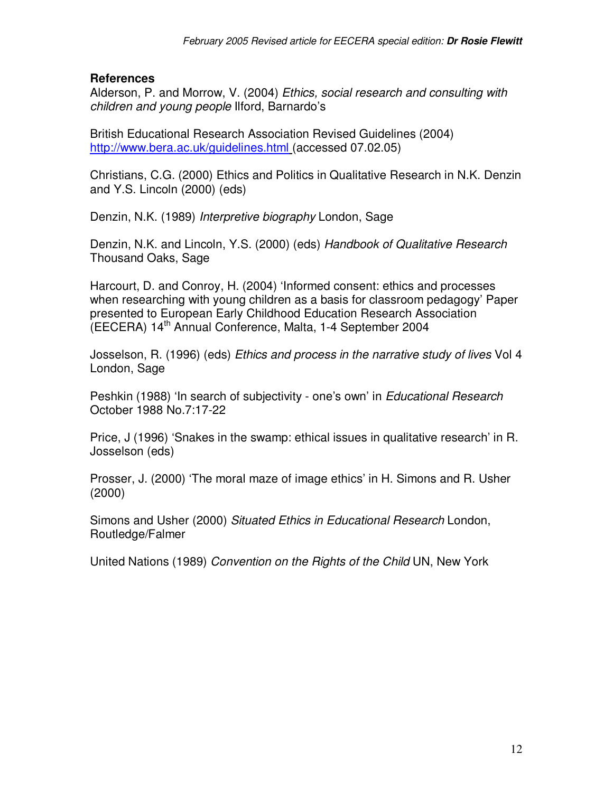#### **References**

Alderson, P. and Morrow, V. (2004) *Ethics, social research and consulting with children and young people* Ilford, Barnardo's

British Educational Research Association Revised Guidelines (2004) http://www.bera.ac.uk/guidelines.html (accessed 07.02.05)

Christians, C.G. (2000) Ethics and Politics in Qualitative Research in N.K. Denzin and Y.S. Lincoln (2000) (eds)

Denzin, N.K. (1989) *Interpretive biography* London, Sage

Denzin, N.K. and Lincoln, Y.S. (2000) (eds) *Handbook of Qualitative Research*  Thousand Oaks, Sage

Harcourt, D. and Conroy, H. (2004) 'Informed consent: ethics and processes when researching with young children as a basis for classroom pedagogy' Paper presented to European Early Childhood Education Research Association (EECERA) 14<sup>th</sup> Annual Conference, Malta, 1-4 September 2004

Josselson, R. (1996) (eds) *Ethics and process in the narrative study of lives* Vol 4 London, Sage

Peshkin (1988) 'In search of subjectivity - one's own' in *Educational Research* October 1988 No.7:17-22

Price, J (1996) 'Snakes in the swamp: ethical issues in qualitative research' in R. Josselson (eds)

Prosser, J. (2000) 'The moral maze of image ethics' in H. Simons and R. Usher (2000)

Simons and Usher (2000) *Situated Ethics in Educational Research* London, Routledge/Falmer

United Nations (1989) *Convention on the Rights of the Child* UN, New York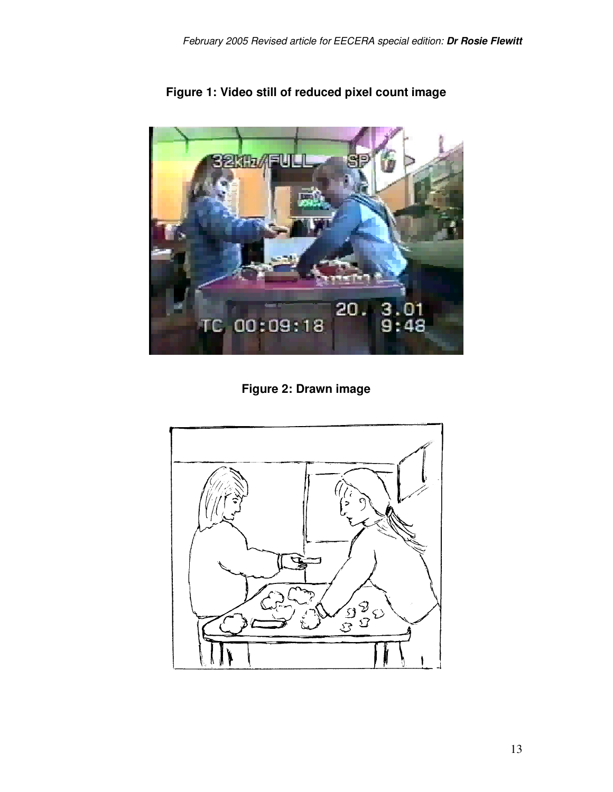

**Figure 1: Video still of reduced pixel count image** 

**Figure 2: Drawn image**